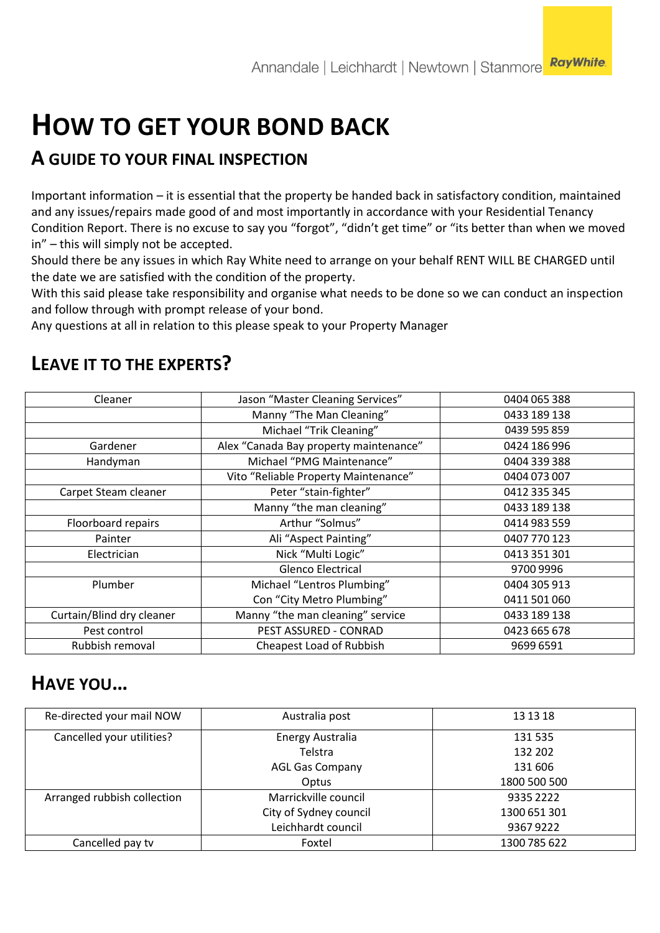# **HOW TO GET YOUR BOND BACK**

## **A GUIDE TO YOUR FINAL INSPECTION**

Important information – it is essential that the property be handed back in satisfactory condition, maintained and any issues/repairs made good of and most importantly in accordance with your Residential Tenancy Condition Report. There is no excuse to say you "forgot", "didn't get time" or "its better than when we moved in" – this will simply not be accepted.

Should there be any issues in which Ray White need to arrange on your behalf RENT WILL BE CHARGED until the date we are satisfied with the condition of the property.

With this said please take responsibility and organise what needs to be done so we can conduct an inspection and follow through with prompt release of your bond.

Any questions at all in relation to this please speak to your Property Manager

| Cleaner                   | Jason "Master Cleaning Services"       | 0404 065 388 |
|---------------------------|----------------------------------------|--------------|
|                           | Manny "The Man Cleaning"               | 0433 189 138 |
|                           | Michael "Trik Cleaning"                | 0439 595 859 |
| Gardener                  | Alex "Canada Bay property maintenance" | 0424 186 996 |
| Handyman                  | Michael "PMG Maintenance"              | 0404 339 388 |
|                           | Vito "Reliable Property Maintenance"   | 0404 073 007 |
| Carpet Steam cleaner      | Peter "stain-fighter"                  | 0412 335 345 |
|                           | Manny "the man cleaning"               | 0433 189 138 |
| Floorboard repairs        | Arthur "Solmus"                        | 0414 983 559 |
| Painter                   | Ali "Aspect Painting"                  | 0407 770 123 |
| Electrician               | Nick "Multi Logic"                     | 0413 351 301 |
|                           | <b>Glenco Electrical</b>               | 9700 9996    |
| Plumber                   | Michael "Lentros Plumbing"             | 0404 305 913 |
|                           | Con "City Metro Plumbing"              | 0411 501 060 |
| Curtain/Blind dry cleaner | Manny "the man cleaning" service       | 0433 189 138 |
| Pest control              | PEST ASSURED - CONRAD                  | 0423 665 678 |
| Rubbish removal           | Cheapest Load of Rubbish               | 9699 6591    |
|                           |                                        |              |

## **LEAVE IT TO THE EXPERTS?**

## **HAVE YOU…**

| Re-directed your mail NOW   | Australia post         | 13 13 18     |
|-----------------------------|------------------------|--------------|
| Cancelled your utilities?   | Energy Australia       | 131 535      |
|                             | Telstra                | 132 202      |
|                             | <b>AGL Gas Company</b> | 131 606      |
|                             | Optus                  | 1800 500 500 |
| Arranged rubbish collection | Marrickville council   | 9335 2222    |
|                             | City of Sydney council | 1300 651 301 |
|                             | Leichhardt council     | 93679222     |
| Cancelled pay tv            | Foxtel                 | 1300 785 622 |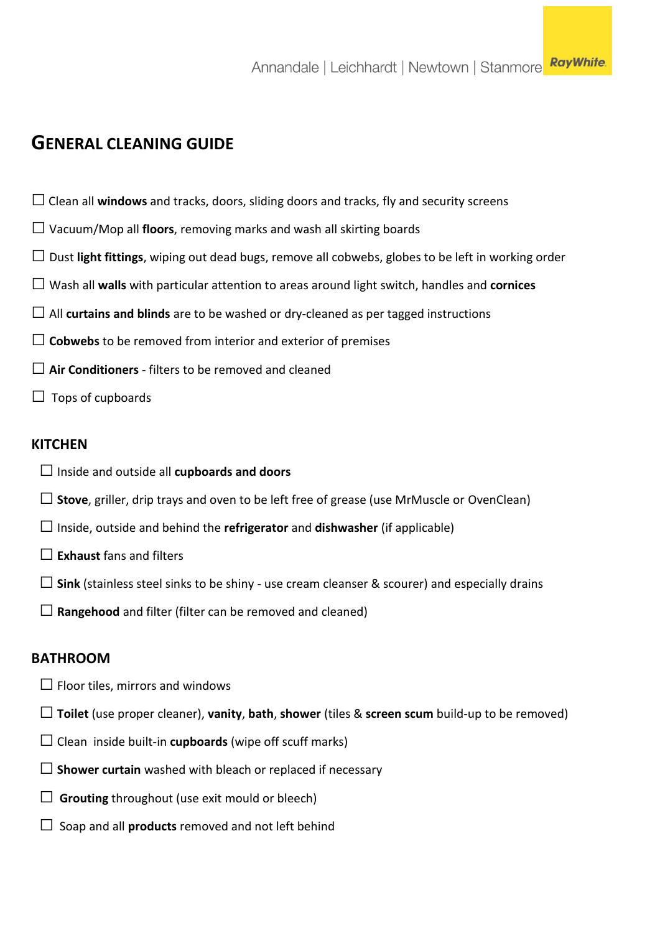### **GENERAL CLEANING GUIDE**

- $\Box$  Clean all **windows** and tracks, doors, sliding doors and tracks, fly and security screens
- $\square$  Vacuum/Mop all **floors**, removing marks and wash all skirting boards
- □ Dust **light fittings**, wiping out dead bugs, remove all cobwebs, globes to be left in working order
- □ Wash all **walls** with particular attention to areas around light switch, handles and **cornices**
- $\Box$  All **curtains and blinds** are to be washed or dry-cleaned as per tagged instructions
- $\Box$  Cobwebs to be removed from interior and exterior of premises
- □ **Air Conditioners** filters to be removed and cleaned
- $\Box$  Tops of cupboards

#### **KITCHEN**

- □Inside and outside all **cupboards and doors**
- □**Stove**, griller, drip trays and oven to be left free of grease (use MrMuscle or OvenClean)
- □Inside, outside and behind the **refrigerator** and **dishwasher** (if applicable)
- □**Exhaust** fans and filters
- $\square$  Sink (stainless steel sinks to be shiny use cream cleanser & scourer) and especially drains
- $\Box$  **Rangehood** and filter (filter can be removed and cleaned)

#### **BATHROOM**

- $\square$  Floor tiles, mirrors and windows
- □**Toilet** (use proper cleaner), **vanity**, **bath**, **shower** (tiles & **screen scum** build-up to be removed)
- $\Box$  Clean inside built-in **cupboards** (wipe off scuff marks)
- □ **Shower curtain** washed with bleach or replaced if necessary
- $\Box$  **Grouting** throughout (use exit mould or bleech)
- $\Box$  Soap and all **products** removed and not left behind